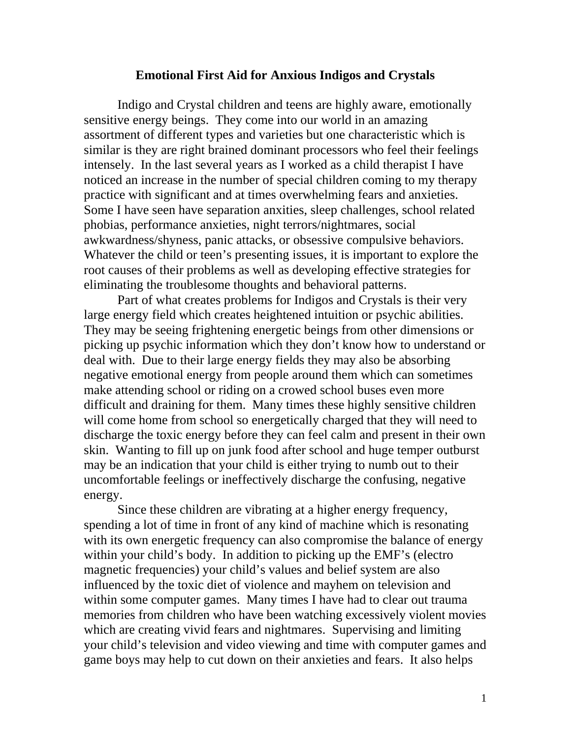#### **Emotional First Aid for Anxious Indigos and Crystals**

Indigo and Crystal children and teens are highly aware, emotionally sensitive energy beings. They come into our world in an amazing assortment of different types and varieties but one characteristic which is similar is they are right brained dominant processors who feel their feelings intensely. In the last several years as I worked as a child therapist I have noticed an increase in the number of special children coming to my therapy practice with significant and at times overwhelming fears and anxieties. Some I have seen have separation anxities, sleep challenges, school related phobias, performance anxieties, night terrors/nightmares, social awkwardness/shyness, panic attacks, or obsessive compulsive behaviors. Whatever the child or teen's presenting issues, it is important to explore the root causes of their problems as well as developing effective strategies for eliminating the troublesome thoughts and behavioral patterns.

 Part of what creates problems for Indigos and Crystals is their very large energy field which creates heightened intuition or psychic abilities. They may be seeing frightening energetic beings from other dimensions or picking up psychic information which they don't know how to understand or deal with. Due to their large energy fields they may also be absorbing negative emotional energy from people around them which can sometimes make attending school or riding on a crowed school buses even more difficult and draining for them. Many times these highly sensitive children will come home from school so energetically charged that they will need to discharge the toxic energy before they can feel calm and present in their own skin. Wanting to fill up on junk food after school and huge temper outburst may be an indication that your child is either trying to numb out to their uncomfortable feelings or ineffectively discharge the confusing, negative energy.

 Since these children are vibrating at a higher energy frequency, spending a lot of time in front of any kind of machine which is resonating with its own energetic frequency can also compromise the balance of energy within your child's body. In addition to picking up the EMF's (electro magnetic frequencies) your child's values and belief system are also influenced by the toxic diet of violence and mayhem on television and within some computer games. Many times I have had to clear out trauma memories from children who have been watching excessively violent movies which are creating vivid fears and nightmares. Supervising and limiting your child's television and video viewing and time with computer games and game boys may help to cut down on their anxieties and fears. It also helps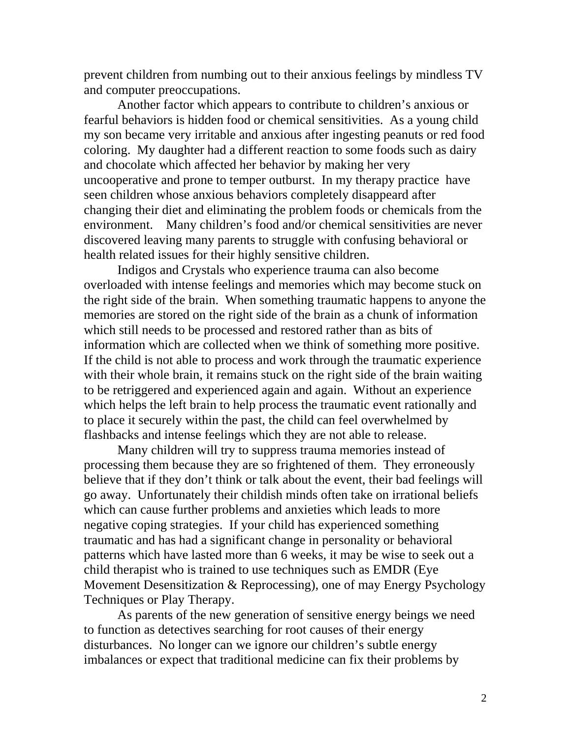prevent children from numbing out to their anxious feelings by mindless TV and computer preoccupations.

 Another factor which appears to contribute to children's anxious or fearful behaviors is hidden food or chemical sensitivities. As a young child my son became very irritable and anxious after ingesting peanuts or red food coloring. My daughter had a different reaction to some foods such as dairy and chocolate which affected her behavior by making her very uncooperative and prone to temper outburst. In my therapy practice have seen children whose anxious behaviors completely disappeard after changing their diet and eliminating the problem foods or chemicals from the environment. Many children's food and/or chemical sensitivities are never discovered leaving many parents to struggle with confusing behavioral or health related issues for their highly sensitive children.

 Indigos and Crystals who experience trauma can also become overloaded with intense feelings and memories which may become stuck on the right side of the brain. When something traumatic happens to anyone the memories are stored on the right side of the brain as a chunk of information which still needs to be processed and restored rather than as bits of information which are collected when we think of something more positive. If the child is not able to process and work through the traumatic experience with their whole brain, it remains stuck on the right side of the brain waiting to be retriggered and experienced again and again. Without an experience which helps the left brain to help process the traumatic event rationally and to place it securely within the past, the child can feel overwhelmed by flashbacks and intense feelings which they are not able to release.

Many children will try to suppress trauma memories instead of processing them because they are so frightened of them. They erroneously believe that if they don't think or talk about the event, their bad feelings will go away. Unfortunately their childish minds often take on irrational beliefs which can cause further problems and anxieties which leads to more negative coping strategies. If your child has experienced something traumatic and has had a significant change in personality or behavioral patterns which have lasted more than 6 weeks, it may be wise to seek out a child therapist who is trained to use techniques such as EMDR (Eye Movement Desensitization & Reprocessing), one of may Energy Psychology Techniques or Play Therapy.

 As parents of the new generation of sensitive energy beings we need to function as detectives searching for root causes of their energy disturbances. No longer can we ignore our children's subtle energy imbalances or expect that traditional medicine can fix their problems by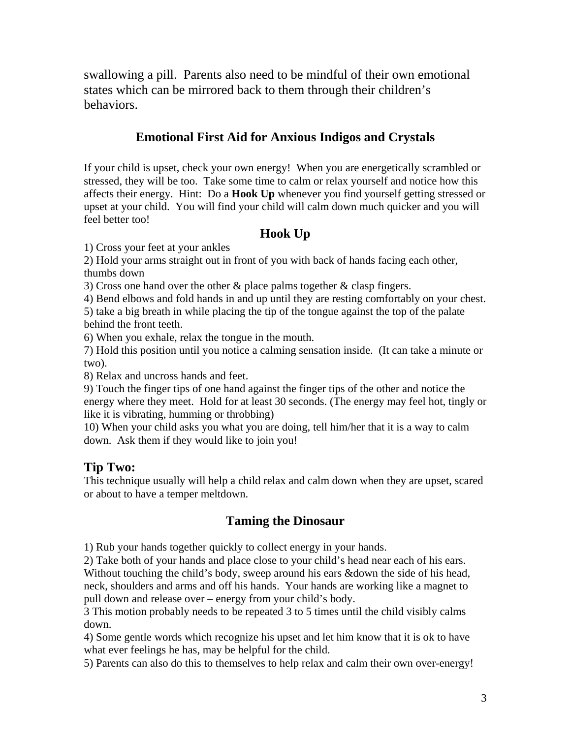swallowing a pill. Parents also need to be mindful of their own emotional states which can be mirrored back to them through their children's behaviors.

# **Emotional First Aid for Anxious Indigos and Crystals**

If your child is upset, check your own energy! When you are energetically scrambled or stressed, they will be too. Take some time to calm or relax yourself and notice how this affects their energy. Hint: Do a **Hook Up** whenever you find yourself getting stressed or upset at your child. You will find your child will calm down much quicker and you will feel better too!

# **Hook Up**

1) Cross your feet at your ankles

2) Hold your arms straight out in front of you with back of hands facing each other, thumbs down

3) Cross one hand over the other & place palms together & clasp fingers.

4) Bend elbows and fold hands in and up until they are resting comfortably on your chest. 5) take a big breath in while placing the tip of the tongue against the top of the palate

behind the front teeth.

6) When you exhale, relax the tongue in the mouth.

7) Hold this position until you notice a calming sensation inside. (It can take a minute or two).

8) Relax and uncross hands and feet.

9) Touch the finger tips of one hand against the finger tips of the other and notice the energy where they meet. Hold for at least 30 seconds. (The energy may feel hot, tingly or like it is vibrating, humming or throbbing)

10) When your child asks you what you are doing, tell him/her that it is a way to calm down. Ask them if they would like to join you!

### **Tip Two:**

This technique usually will help a child relax and calm down when they are upset, scared or about to have a temper meltdown.

### **Taming the Dinosaur**

1) Rub your hands together quickly to collect energy in your hands.

2) Take both of your hands and place close to your child's head near each of his ears. Without touching the child's body, sweep around his ears &down the side of his head, neck, shoulders and arms and off his hands. Your hands are working like a magnet to pull down and release over – energy from your child's body.

3 This motion probably needs to be repeated 3 to 5 times until the child visibly calms down.

4) Some gentle words which recognize his upset and let him know that it is ok to have what ever feelings he has, may be helpful for the child.

5) Parents can also do this to themselves to help relax and calm their own over-energy!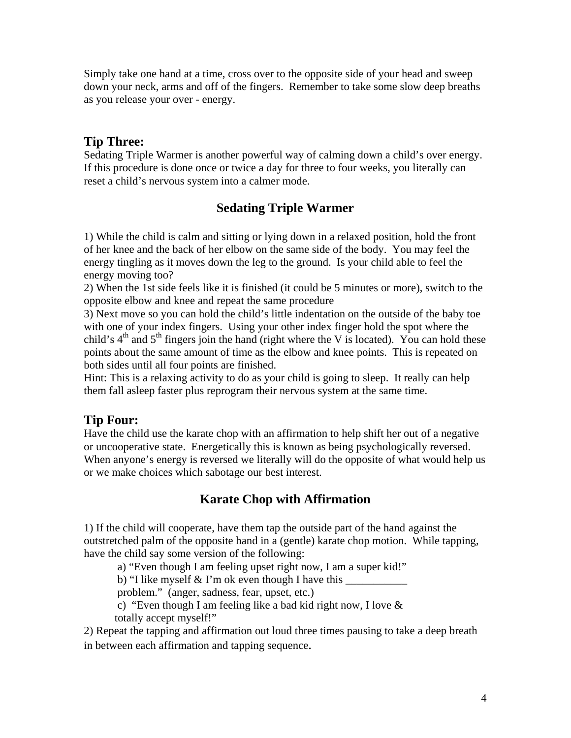Simply take one hand at a time, cross over to the opposite side of your head and sweep down your neck, arms and off of the fingers. Remember to take some slow deep breaths as you release your over - energy.

#### **Tip Three:**

Sedating Triple Warmer is another powerful way of calming down a child's over energy. If this procedure is done once or twice a day for three to four weeks, you literally can reset a child's nervous system into a calmer mode.

### **Sedating Triple Warmer**

1) While the child is calm and sitting or lying down in a relaxed position, hold the front of her knee and the back of her elbow on the same side of the body. You may feel the energy tingling as it moves down the leg to the ground. Is your child able to feel the energy moving too?

2) When the 1st side feels like it is finished (it could be 5 minutes or more), switch to the opposite elbow and knee and repeat the same procedure

3) Next move so you can hold the child's little indentation on the outside of the baby toe with one of your index fingers. Using your other index finger hold the spot where the child's  $4<sup>th</sup>$  and  $5<sup>th</sup>$  fingers join the hand (right where the V is located). You can hold these points about the same amount of time as the elbow and knee points. This is repeated on both sides until all four points are finished.

Hint: This is a relaxing activity to do as your child is going to sleep. It really can help them fall asleep faster plus reprogram their nervous system at the same time.

### **Tip Four:**

Have the child use the karate chop with an affirmation to help shift her out of a negative or uncooperative state. Energetically this is known as being psychologically reversed. When anyone's energy is reversed we literally will do the opposite of what would help us or we make choices which sabotage our best interest.

# **Karate Chop with Affirmation**

1) If the child will cooperate, have them tap the outside part of the hand against the outstretched palm of the opposite hand in a (gentle) karate chop motion. While tapping, have the child say some version of the following:

a) "Even though I am feeling upset right now, I am a super kid!"

b) "I like myself  $&$  I'm ok even though I have this

problem." (anger, sadness, fear, upset, etc.)

 c) "Even though I am feeling like a bad kid right now, I love & totally accept myself!"

2) Repeat the tapping and affirmation out loud three times pausing to take a deep breath in between each affirmation and tapping sequence.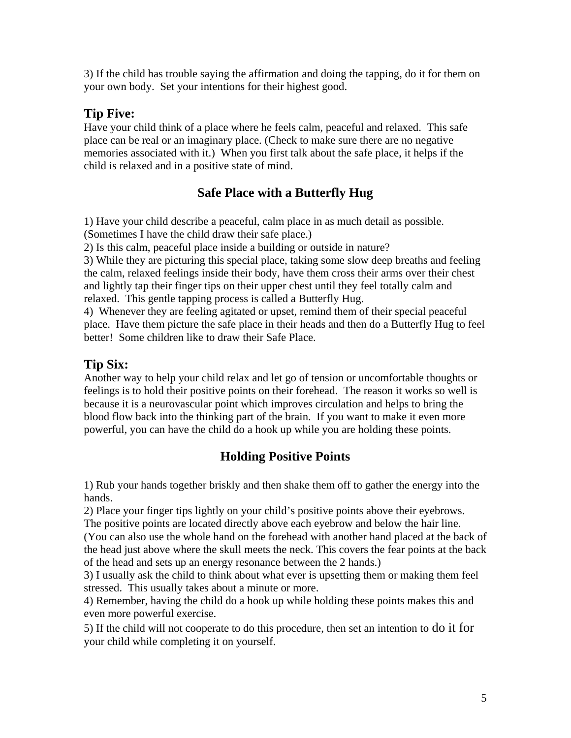3) If the child has trouble saying the affirmation and doing the tapping, do it for them on your own body. Set your intentions for their highest good.

# **Tip Five:**

Have your child think of a place where he feels calm, peaceful and relaxed. This safe place can be real or an imaginary place. (Check to make sure there are no negative memories associated with it.) When you first talk about the safe place, it helps if the child is relaxed and in a positive state of mind.

# **Safe Place with a Butterfly Hug**

1) Have your child describe a peaceful, calm place in as much detail as possible. (Sometimes I have the child draw their safe place.)

2) Is this calm, peaceful place inside a building or outside in nature?

3) While they are picturing this special place, taking some slow deep breaths and feeling the calm, relaxed feelings inside their body, have them cross their arms over their chest and lightly tap their finger tips on their upper chest until they feel totally calm and relaxed. This gentle tapping process is called a Butterfly Hug.

4) Whenever they are feeling agitated or upset, remind them of their special peaceful place. Have them picture the safe place in their heads and then do a Butterfly Hug to feel better! Some children like to draw their Safe Place.

# **Tip Six:**

Another way to help your child relax and let go of tension or uncomfortable thoughts or feelings is to hold their positive points on their forehead. The reason it works so well is because it is a neurovascular point which improves circulation and helps to bring the blood flow back into the thinking part of the brain. If you want to make it even more powerful, you can have the child do a hook up while you are holding these points.

# **Holding Positive Points**

1) Rub your hands together briskly and then shake them off to gather the energy into the hands.

2) Place your finger tips lightly on your child's positive points above their eyebrows.

The positive points are located directly above each eyebrow and below the hair line.

(You can also use the whole hand on the forehead with another hand placed at the back of the head just above where the skull meets the neck. This covers the fear points at the back of the head and sets up an energy resonance between the 2 hands.)

3) I usually ask the child to think about what ever is upsetting them or making them feel stressed. This usually takes about a minute or more.

4) Remember, having the child do a hook up while holding these points makes this and even more powerful exercise.

5) If the child will not cooperate to do this procedure, then set an intention to do it for your child while completing it on yourself.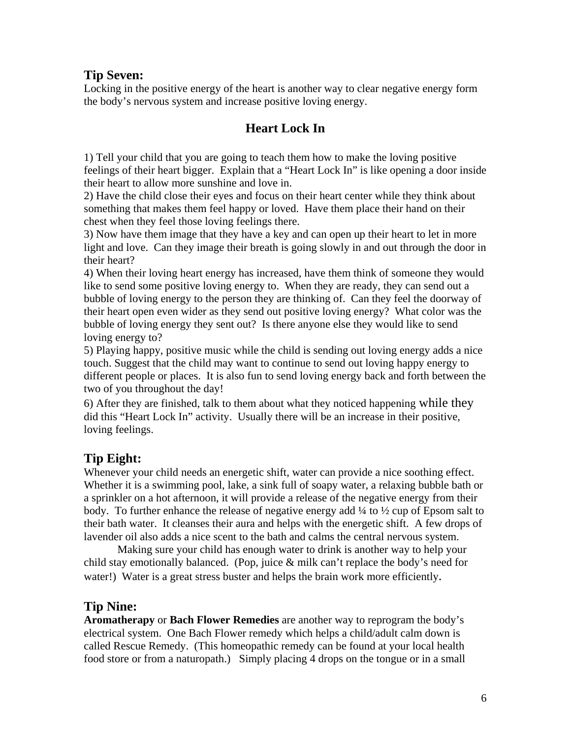#### **Tip Seven:**

Locking in the positive energy of the heart is another way to clear negative energy form the body's nervous system and increase positive loving energy.

### **Heart Lock In**

1) Tell your child that you are going to teach them how to make the loving positive feelings of their heart bigger. Explain that a "Heart Lock In" is like opening a door inside their heart to allow more sunshine and love in.

2) Have the child close their eyes and focus on their heart center while they think about something that makes them feel happy or loved. Have them place their hand on their chest when they feel those loving feelings there.

3) Now have them image that they have a key and can open up their heart to let in more light and love. Can they image their breath is going slowly in and out through the door in their heart?

4) When their loving heart energy has increased, have them think of someone they would like to send some positive loving energy to. When they are ready, they can send out a bubble of loving energy to the person they are thinking of. Can they feel the doorway of their heart open even wider as they send out positive loving energy? What color was the bubble of loving energy they sent out? Is there anyone else they would like to send loving energy to?

5) Playing happy, positive music while the child is sending out loving energy adds a nice touch. Suggest that the child may want to continue to send out loving happy energy to different people or places. It is also fun to send loving energy back and forth between the two of you throughout the day!

6) After they are finished, talk to them about what they noticed happening while they did this "Heart Lock In" activity. Usually there will be an increase in their positive, loving feelings.

# **Tip Eight:**

Whenever your child needs an energetic shift, water can provide a nice soothing effect. Whether it is a swimming pool, lake, a sink full of soapy water, a relaxing bubble bath or a sprinkler on a hot afternoon, it will provide a release of the negative energy from their body. To further enhance the release of negative energy add ¼ to ½ cup of Epsom salt to their bath water. It cleanses their aura and helps with the energetic shift. A few drops of lavender oil also adds a nice scent to the bath and calms the central nervous system.

 Making sure your child has enough water to drink is another way to help your child stay emotionally balanced. (Pop, juice & milk can't replace the body's need for water!) Water is a great stress buster and helps the brain work more efficiently.

### **Tip Nine:**

**Aromatherapy** or **Bach Flower Remedies** are another way to reprogram the body's electrical system. One Bach Flower remedy which helps a child/adult calm down is called Rescue Remedy. (This homeopathic remedy can be found at your local health food store or from a naturopath.) Simply placing 4 drops on the tongue or in a small